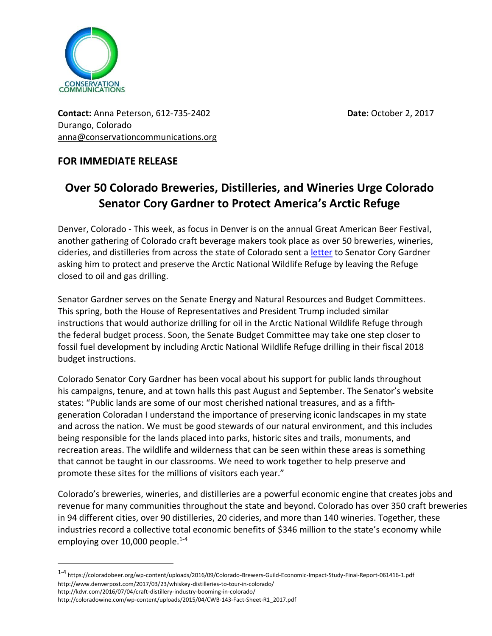

**Contact:** Anna Peterson, 612-735-2402 **Date:** October 2, 2017 Durango, Colorado [anna@conservationcommunications.org](mailto:anna@conservationcommunications.org)

## **FOR IMMEDIATE RELEASE**

## **Over 50 Colorado Breweries, Distilleries, and Wineries Urge Colorado Senator Cory Gardner to Protect America's Arctic Refuge**

Denver, Colorado - This week, as focus in Denver is on the annual Great American Beer Festival, another gathering of Colorado craft beverage makers took place as over 50 breweries, wineries, cideries, and distilleries from across the state of Colorado sent a [letter](https://6329740-799114535315656400.preview.editmysite.com/uploads/6/3/2/9/6329740/public_colorado_brewery_distillery_winery_letter_to_senator_gardner_on_arctic_refuge_with_logos_10.2.17.pdf) to Senator Cory Gardner asking him to protect and preserve the Arctic National Wildlife Refuge by leaving the Refuge closed to oil and gas drilling.

Senator Gardner serves on the Senate Energy and Natural Resources and Budget Committees. This spring, both the House of Representatives and President Trump included similar instructions that would authorize drilling for oil in the Arctic National Wildlife Refuge through the federal budget process. Soon, the Senate Budget Committee may take one step closer to fossil fuel development by including Arctic National Wildlife Refuge drilling in their fiscal 2018 budget instructions.

Colorado Senator Cory Gardner has been vocal about his support for public lands throughout his campaigns, tenure, and at town halls this past August and September. The Senator's website states: "Public lands are some of our most cherished national treasures, and as a fifthgeneration Coloradan I understand the importance of preserving iconic landscapes in my state and across the nation. We must be good stewards of our natural environment, and this includes being responsible for the lands placed into parks, historic sites and trails, monuments, and recreation areas. The wildlife and wilderness that can be seen within these areas is something that cannot be taught in our classrooms. We need to work together to help preserve and promote these sites for the millions of visitors each year."

Colorado's breweries, wineries, and distilleries are a powerful economic engine that creates jobs and revenue for many communities throughout the state and beyond. Colorado has over 350 craft breweries in 94 different cities, over 90 distilleries, 20 cideries, and more than 140 wineries. Together, these industries record a collective total economic benefits of \$346 million to the state's economy while employing over  $10,000$  people.<sup>1-4</sup>

<sup>1-4</sup> <https://coloradobeer.org/wp-content/uploads/2016/09/Colorado-Brewers-Guild-Economic-Impact-Study-Final-Report-061416-1.pdf> <http://www.denverpost.com/2017/03/23/whiskey-distilleries-to-tour-in-colorado/> <http://kdvr.com/2016/07/04/craft-distillery-industry-booming-in-colorado/> [http://coloradowine.com/wp-content/uploads/2015/04/CWB-143-Fact-Sheet-R1\\_2017.pdf](http://coloradowine.com/wp-content/uploads/2015/04/CWB-143-Fact-Sheet-R1_2017.pdf)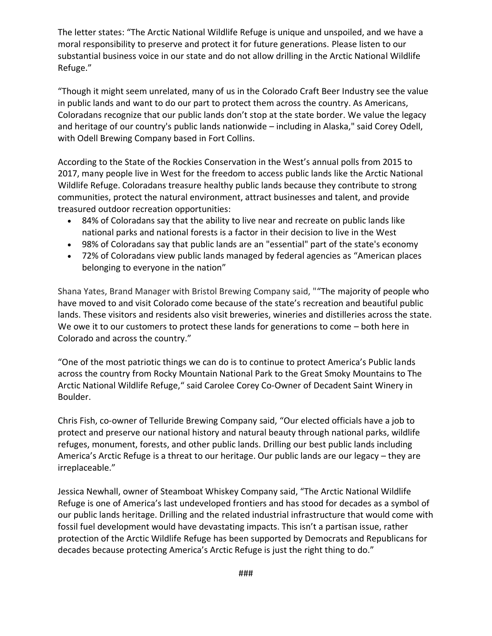The letter states: "The Arctic National Wildlife Refuge is unique and unspoiled, and we have a moral responsibility to preserve and protect it for future generations. Please listen to our substantial business voice in our state and do not allow drilling in the Arctic National Wildlife Refuge."

"Though it might seem unrelated, many of us in the Colorado Craft Beer Industry see the value in public lands and want to do our part to protect them across the country. As Americans, Coloradans recognize that our public lands don't stop at the state border. We value the legacy and heritage of our country's public lands nationwide – including in Alaska," said Corey Odell, with Odell Brewing Company based in Fort Collins.

According to the State of the Rockies Conservation in the West's annual polls from 2015 to 2017, many people live in West for the freedom to access public lands like the Arctic National Wildlife Refuge. Coloradans treasure healthy public lands because they contribute to strong communities, protect the natural environment, attract businesses and talent, and provide treasured outdoor recreation opportunities:

- 84% of Coloradans say that [the ability to live near and recreate on public lands](https://www.coloradocollege.edu/other/stateoftherockies/conservationinthewest/2015/) like national parks and national forests is a factor in their decision to live in the West
- 98% of Coloradans say that [public lands are an](https://www.coloradocollege.edu/dotAsset/e7fa7a35-1f49-4852-93e4-a7ab4b0954e3.pdf) "essential" part of the state's economy
- 72% of Coloradans view public lands managed by federal agencies as ["American places](https://www.coloradocollege.edu/other/stateoftherockies/conservationinthewest/2015/)  [belonging to everyone in the nation](https://www.coloradocollege.edu/other/stateoftherockies/conservationinthewest/2015/)"

Shana Yates, Brand Manager with Bristol Brewing Company said, ""The majority of people who have moved to and visit Colorado come because of the state's recreation and beautiful public lands. These visitors and residents also visit breweries, wineries and distilleries across the state. We owe it to our customers to protect these lands for generations to come – both here in Colorado and across the country."

"One of the most patriotic things we can do is to continue to protect America's Public lands across the country from Rocky Mountain National Park to the Great Smoky Mountains to The Arctic National Wildlife Refuge," said Carolee Corey Co-Owner of Decadent Saint Winery in Boulder.

Chris Fish, co-owner of Telluride Brewing Company said, "Our elected officials have a job to protect and preserve our national history and natural beauty through national parks, wildlife refuges, monument, forests, and other public lands. Drilling our best public lands including America's Arctic Refuge is a threat to our heritage. Our public lands are our legacy – they are irreplaceable."

Jessica Newhall, owner of Steamboat Whiskey Company said, "The Arctic National Wildlife Refuge is one of America's last undeveloped frontiers and has stood for decades as a symbol of our public lands heritage. Drilling and the related industrial infrastructure that would come with fossil fuel development would have devastating impacts. This isn't a partisan issue, rather protection of the Arctic Wildlife Refuge has been supported by Democrats and Republicans for decades because protecting America's Arctic Refuge is just the right thing to do."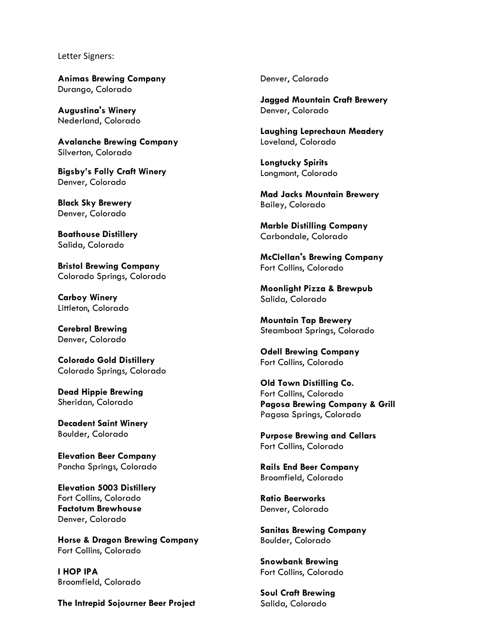Letter Signers:

**Animas Brewing Company** Durango, Colorado

**Augustina's Winery** Nederland, Colorado

**Avalanche Brewing Company** Silverton, Colorado

**Bigsby's Folly Craft Winery** Denver, Colorado

**Black Sky Brewery** Denver, Colorado

**Boathouse Distillery** Salida, Colorado

**Bristol Brewing Company** Colorado Springs, Colorado

**Carboy Winery** Littleton, Colorado

**Cerebral Brewing** Denver, Colorado

**Colorado Gold Distillery** Colorado Springs, Colorado

**Dead Hippie Brewing** Sheridan, Colorado

**Decadent Saint Winery** Boulder, Colorado

**Elevation Beer Company** Poncha Springs, Colorado

**Elevation 5003 Distillery** Fort Collins, Colorado **Factotum Brewhouse** Denver, Colorado

**Horse & Dragon Brewing Company** Fort Collins, Colorado

**I HOP IPA**  Broomfield, Colorado

**The Intrepid Sojourner Beer Project**

Denver, Colorado

**Jagged Mountain Craft Brewery** Denver, Colorado

**Laughing Leprechaun Meadery** Loveland, Colorado

**Longtucky Spirits** Longmont, Colorado

**Mad Jacks Mountain Brewery** Bailey, Colorado

**Marble Distilling Company** Carbondale, Colorado

**McClellan's Brewing Company** Fort Collins, Colorado

**Moonlight Pizza & Brewpub** Salida, Colorado

**Mountain Tap Brewery** Steamboat Springs, Colorado

**Odell Brewing Company** Fort Collins, Colorado

**Old Town Distilling Co.** Fort Collins, Colorado **Pagosa Brewing Company & Grill** Pagosa Springs, Colorado

**Purpose Brewing and Cellars** Fort Collins, Colorado

**Rails End Beer Company**  Broomfield, Colorado

**Ratio Beerworks** Denver, Colorado

**Sanitas Brewing Company** Boulder, Colorado

**Snowbank Brewing** Fort Collins, Colorado

**Soul Craft Brewing** Salida, Colorado